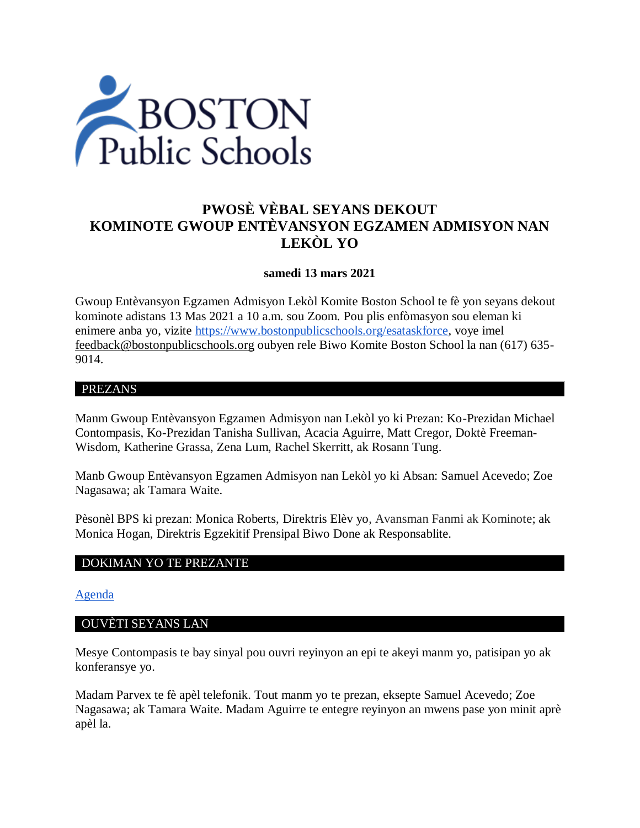

# **PWOSÈ VÈBAL SEYANS DEKOUT KOMINOTE GWOUP ENTÈVANSYON EGZAMEN ADMISYON NAN LEKÒL YO**

## **samedi 13 mars 2021**

Gwoup Entèvansyon Egzamen Admisyon Lekòl Komite Boston School te fè yon seyans dekout kominote adistans 13 Mas 2021 a 10 a.m. sou Zoom. Pou plis enfòmasyon sou eleman ki enimere anba yo, vizite [https://www.bostonpublicschools.org/esataskforce,](https://www.bostonpublicschools.org/esataskforce) voye imel [feedback@bostonpublicschools.org](mailto:feedback@bostonpublicschools.org) oubyen rele Biwo Komite Boston School la nan (617) 635- 9014.

### PREZANS

Manm Gwoup Entèvansyon Egzamen Admisyon nan Lekòl yo ki Prezan: Ko-Prezidan Michael Contompasis, Ko-Prezidan Tanisha Sullivan, Acacia Aguirre, Matt Cregor, Doktè Freeman-Wisdom, Katherine Grassa, Zena Lum, Rachel Skerritt, ak Rosann Tung.

Manb Gwoup Entèvansyon Egzamen Admisyon nan Lekòl yo ki Absan: Samuel Acevedo; Zoe Nagasawa; ak Tamara Waite.

Pèsonèl BPS ki prezan: Monica Roberts, Direktris Elèv yo, Avansman Fanmi ak Kominote; ak Monica Hogan, Direktris Egzekitif Prensipal Biwo Done ak Responsablite.

#### DOKIMAN YO TE PREZANTE

#### [Agenda](https://www.boston.gov/public-notices/14769066)

#### OUVÈTI SEYANS LAN

Mesye Contompasis te bay sinyal pou ouvri reyinyon an epi te akeyi manm yo, patisipan yo ak konferansye yo.

Madam Parvex te fè apèl telefonik. Tout manm yo te prezan, eksepte Samuel Acevedo; Zoe Nagasawa; ak Tamara Waite. Madam Aguirre te entegre reyinyon an mwens pase yon minit aprè apèl la.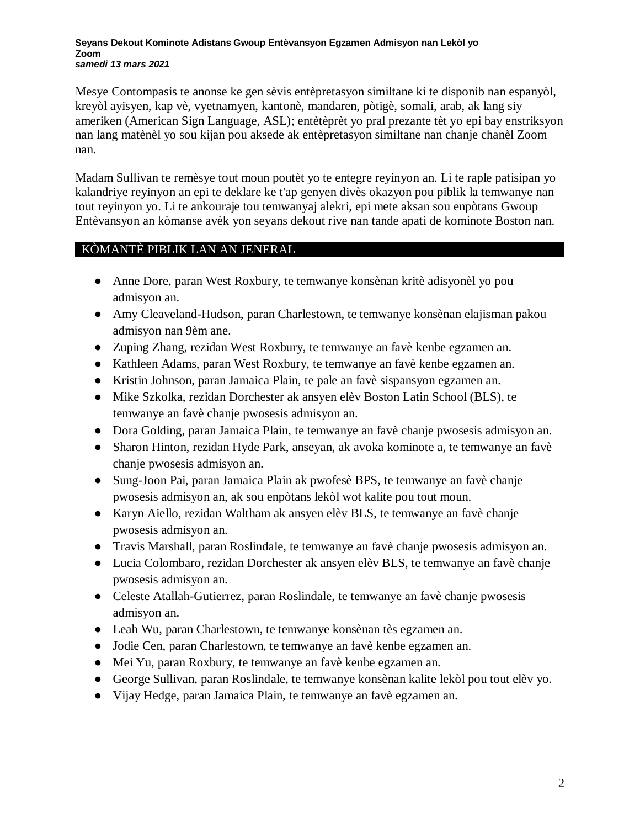#### **Seyans Dekout Kominote Adistans Gwoup Entèvansyon Egzamen Admisyon nan Lekòl yo Zoom** *samedi 13 mars 2021*

Mesye Contompasis te anonse ke gen sèvis entèpretasyon similtane ki te disponib nan espanyòl, kreyòl ayisyen, kap vè, vyetnamyen, kantonè, mandaren, pòtigè, somali, arab, ak lang siy ameriken (American Sign Language, ASL); entètèprèt yo pral prezante tèt yo epi bay enstriksyon nan lang matènèl yo sou kijan pou aksede ak entèpretasyon similtane nan chanje chanèl Zoom nan.

Madam Sullivan te remèsye tout moun poutèt yo te entegre reyinyon an. Li te raple patisipan yo kalandriye reyinyon an epi te deklare ke t'ap genyen divès okazyon pou piblik la temwanye nan tout reyinyon yo. Li te ankouraje tou temwanyaj alekri, epi mete aksan sou enpòtans Gwoup Entèvansyon an kòmanse avèk yon seyans dekout rive nan tande apati de kominote Boston nan.

# KÒMANTÈ PIBLIK LAN AN JENERAL

- Anne Dore, paran West Roxbury, te temwanye konsènan kritè adisyonèl yo pou admisyon an.
- Amy Cleaveland-Hudson, paran Charlestown, te temwanye konsènan elajisman pakou admisyon nan 9èm ane.
- Zuping Zhang, rezidan West Roxbury, te temwanye an favè kenbe egzamen an.
- Kathleen Adams, paran West Roxbury, te temwanye an favè kenbe egzamen an.
- Kristin Johnson, paran Jamaica Plain, te pale an favè sispansyon egzamen an.
- Mike Szkolka, rezidan Dorchester ak ansyen elèv Boston Latin School (BLS), te temwanye an favè chanje pwosesis admisyon an.
- Dora Golding, paran Jamaica Plain, te temwanye an favè chanje pwosesis admisyon an.
- Sharon Hinton, rezidan Hyde Park, anseyan, ak avoka kominote a, te temwanye an favè chanje pwosesis admisyon an.
- Sung-Joon Pai, paran Jamaica Plain ak pwofesè BPS, te temwanye an favè chanje pwosesis admisyon an, ak sou enpòtans lekòl wot kalite pou tout moun.
- Karyn Aiello, rezidan Waltham ak ansyen elèv BLS, te temwanye an favè chanje pwosesis admisyon an.
- Travis Marshall, paran Roslindale, te temwanye an favè chanje pwosesis admisyon an.
- Lucia Colombaro, rezidan Dorchester ak ansyen elèv BLS, te temwanye an favè chanje pwosesis admisyon an.
- Celeste Atallah-Gutierrez, paran Roslindale, te temwanye an favè chanje pwosesis admisyon an.
- Leah Wu, paran Charlestown, te temwanye konsènan tès egzamen an.
- Jodie Cen, paran Charlestown, te temwanye an favè kenbe egzamen an.
- Mei Yu, paran Roxbury, te temwanye an favè kenbe egzamen an.
- George Sullivan, paran Roslindale, te temwanye konsènan kalite lekòl pou tout elèv yo.
- Vijay Hedge, paran Jamaica Plain, te temwanye an favè egzamen an.